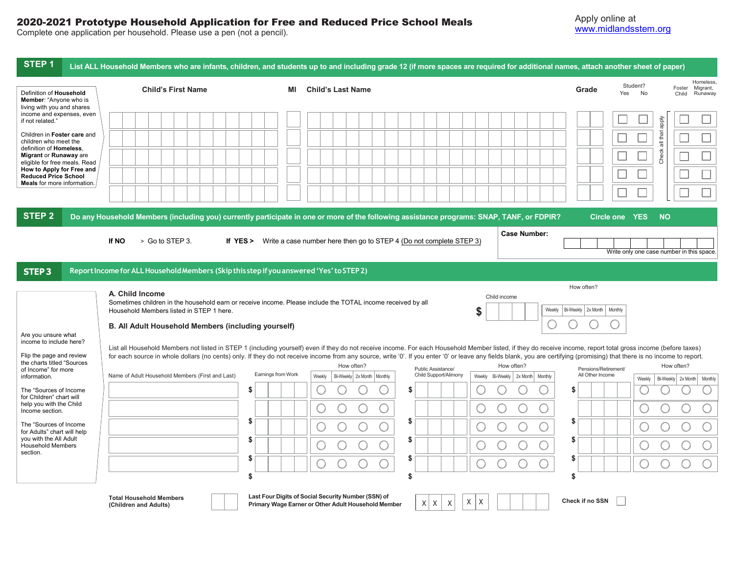## 2020-2021 Prototype Household Application for Free and Reduced Price School Meals

Complete one application per household. Please use a pen (not a pencil).

| STEP <sub>1</sub>                                                                                                                                                                                                                                                                                                                                                     | List ALL Household Members who are infants, children, and students up to and including grade 12 (if more spaces are required for additional names, attach another sheet of paper)                                                                                                                                                                                                                                                                                                     |                    |                                                                                                            |                                             |                                      |                                          |                                                                              |
|-----------------------------------------------------------------------------------------------------------------------------------------------------------------------------------------------------------------------------------------------------------------------------------------------------------------------------------------------------------------------|---------------------------------------------------------------------------------------------------------------------------------------------------------------------------------------------------------------------------------------------------------------------------------------------------------------------------------------------------------------------------------------------------------------------------------------------------------------------------------------|--------------------|------------------------------------------------------------------------------------------------------------|---------------------------------------------|--------------------------------------|------------------------------------------|------------------------------------------------------------------------------|
| Definition of Household<br>Member: "Anyone who is                                                                                                                                                                                                                                                                                                                     | <b>Child's First Name</b>                                                                                                                                                                                                                                                                                                                                                                                                                                                             | ΜI                 | <b>Child's Last Name</b>                                                                                   |                                             |                                      | Grade                                    | Homeless.<br>Student?<br>Foster<br>Migrant,<br>Yes<br>No<br>Runaway<br>Child |
| living with you and shares<br>income and expenses, even<br>if not related."<br>Children in Foster care and<br>children who meet the<br>definition of Homeless.<br>Migrant or Runaway are<br>eligible for free meals. Read<br>How to Apply for Free and<br><b>Reduced Price School</b><br><b>Meals</b> for more information.<br>STEP <sub>2</sub>                      | Do any Household Members (including you) currently participate in one or more of the following assistance programs: SNAP, TANF, or FDPIR?                                                                                                                                                                                                                                                                                                                                             |                    |                                                                                                            |                                             |                                      | Circle one YES                           | Aldde<br>all that<br>Check<br><b>NO</b>                                      |
|                                                                                                                                                                                                                                                                                                                                                                       | > Go to STEP 3.<br>If NO                                                                                                                                                                                                                                                                                                                                                                                                                                                              |                    | If YES > Write a case number here then go to STEP 4 (Do not complete STEP 3)                               |                                             | <b>Case Number:</b>                  |                                          | Write only one case number in this space                                     |
| STEP <sub>3</sub>                                                                                                                                                                                                                                                                                                                                                     | Report Income for ALL Household Members (Skip this step if you answered 'Yes' to STEP 2)                                                                                                                                                                                                                                                                                                                                                                                              |                    |                                                                                                            |                                             |                                      |                                          |                                                                              |
| How often?<br>A. Child Income<br>Child income<br>Sometimes children in the household earn or receive income. Please include the TOTAL income received by all<br>Household Members listed in STEP 1 here.<br>\$<br>Weekly   Bi-Weekly   2x Month  <br>Monthly<br>B. All Adult Household Members (including yourself)<br>Are you unsure what<br>income to include here? |                                                                                                                                                                                                                                                                                                                                                                                                                                                                                       |                    |                                                                                                            |                                             |                                      |                                          |                                                                              |
| Flip the page and review<br>the charts titled "Sources                                                                                                                                                                                                                                                                                                                | List all Household Members not listed in STEP 1 (including yourself) even if they do not receive income. For each Household Member listed, if they do receive income, report total gross income (before taxes)<br>for each source in whole dollars (no cents) only. If they do not receive income from any source, write '0'. If you enter '0' or leave any fields blank, you are certifying (promising) that there is no income to report.<br>How often?<br>How often?<br>How often? |                    |                                                                                                            |                                             |                                      |                                          |                                                                              |
| of Income" for more<br>information.                                                                                                                                                                                                                                                                                                                                   | Name of Adult Household Members (First and Last)                                                                                                                                                                                                                                                                                                                                                                                                                                      | Earnings from Work | Bi-Weekly 2x Month   Monthly<br>Weekly                                                                     | Public Assistance/<br>Child Support/Alimony | Bi-Weekly 2x Month Monthly<br>Weekly | Pensions/Retirement/<br>All Other Income | Bi-Weekly 2x Month<br>Monthly<br>Weekly                                      |
| The "Sources of Income"<br>for Children" chart will                                                                                                                                                                                                                                                                                                                   |                                                                                                                                                                                                                                                                                                                                                                                                                                                                                       | \$                 |                                                                                                            | \$                                          |                                      | S                                        |                                                                              |
| help you with the Child<br>Income section.                                                                                                                                                                                                                                                                                                                            |                                                                                                                                                                                                                                                                                                                                                                                                                                                                                       |                    |                                                                                                            |                                             |                                      |                                          |                                                                              |
| The "Sources of Income"<br>for Adults" chart will help                                                                                                                                                                                                                                                                                                                |                                                                                                                                                                                                                                                                                                                                                                                                                                                                                       | \$.                | C                                                                                                          | \$                                          | O                                    | S                                        |                                                                              |
| you with the All Adult<br><b>Household Members</b>                                                                                                                                                                                                                                                                                                                    |                                                                                                                                                                                                                                                                                                                                                                                                                                                                                       | S.                 |                                                                                                            | \$                                          |                                      | S                                        |                                                                              |
| section.                                                                                                                                                                                                                                                                                                                                                              |                                                                                                                                                                                                                                                                                                                                                                                                                                                                                       | S                  |                                                                                                            | \$                                          |                                      | S                                        |                                                                              |
|                                                                                                                                                                                                                                                                                                                                                                       | <b>Total Household Members</b><br>(Children and Adults)                                                                                                                                                                                                                                                                                                                                                                                                                               | \$                 | Last Four Digits of Social Security Number (SSN) of<br>Primary Wage Earner or Other Adult Household Member | \$<br>Χ<br>XX<br>X                          | Χ                                    | \$<br><b>Check if no SSN</b>             |                                                                              |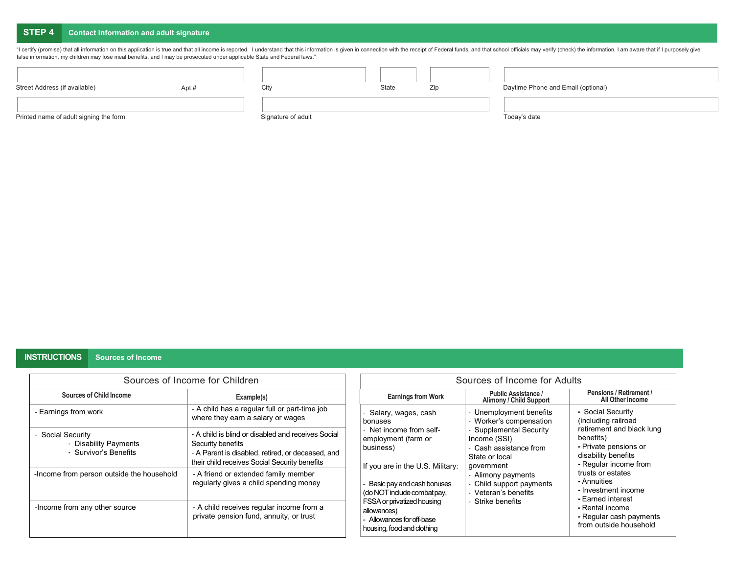# **STEP 4 Contact information and adult signature**

"I certify (promise) that all information on this application is true and that all income is reported. I understand that this information is given in connection with the receipt of Federal funds, and that school officials false information, my children may lose meal benefits, and I may be prosecuted under applicable State and Federal laws."

| Street Address (if available)          | Apt # | City               | State | Zip | Daytime Phone and Email (optional) |
|----------------------------------------|-------|--------------------|-------|-----|------------------------------------|
|                                        |       |                    |       |     |                                    |
| Printed name of adult signing the form |       | Signature of adult |       |     | Today's date                       |

## **INSTRUCTIONS Sources of Income**

|                                                                     | Sources of Income for Children                                                                                                                                                | Sources of Income for Adults                                                                         |                                                                                                   |                                                                                                                                                             |  |
|---------------------------------------------------------------------|-------------------------------------------------------------------------------------------------------------------------------------------------------------------------------|------------------------------------------------------------------------------------------------------|---------------------------------------------------------------------------------------------------|-------------------------------------------------------------------------------------------------------------------------------------------------------------|--|
| Sources of Child Income                                             | Example(s)                                                                                                                                                                    | <b>Earnings from Work</b>                                                                            | <b>Public Assistance /</b><br><b>Alimony / Child Support</b>                                      | Pensions / Retirement /<br>All Other Income                                                                                                                 |  |
| - Earnings from work                                                | - A child has a regular full or part-time job<br>where they earn a salary or wages                                                                                            | - Salary, wages, cash<br>bonuses                                                                     | - Unemployment benefits<br>- Worker's compensation                                                | - Social Security<br>(including railroad<br>retirement and black lung<br>benefits)<br>- Private pensions or<br>disability benefits<br>- Regular income from |  |
| - Social Security<br>- Disability Payments<br>- Survivor's Benefits | - A child is blind or disabled and receives Social<br>Security benefits<br>- A Parent is disabled, retired, or deceased, and<br>their child receives Social Security benefits | - Net income from self-<br>employment (farm or<br>business)<br>If you are in the U.S. Military:      | - Supplemental Security<br>Income (SSI)<br>- Cash assistance from<br>State or local<br>government |                                                                                                                                                             |  |
| -Income from person outside the household                           | - A friend or extended family member<br>regularly gives a child spending money                                                                                                |                                                                                                      | - Alimony payments<br>Child support payments<br>- Veteran's benefits                              | trusts or estates<br>- Annuities<br>- Investment income<br>- Earned interest                                                                                |  |
| -Income from any other source                                       | - A child receives regular income from a<br>private pension fund, annuity, or trust                                                                                           | FSSA or privatized housing<br>allowances)<br>- Allowances for off-base<br>housing, food and clothing | - Strike benefits                                                                                 | - Rental income<br>- Regular cash payments<br>from outside household                                                                                        |  |